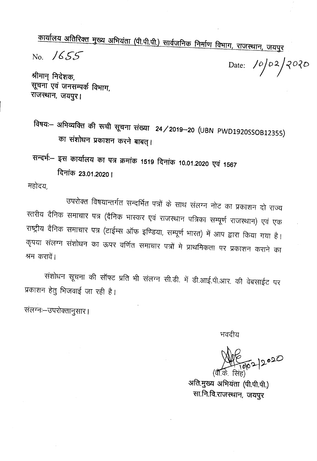कार्यालय अतिरिक्त मुख्य अभियंता (पी.पी.पी.) सार्वजनिक निर्माण विभाग, राजस्थान, जयपुर

No. 1655

Date:  $\frac{10}{2}$  2/2020

श्रीमान् निदेशक, सूचना एवं जनसम्पर्क विभाग, राजस्थान, जयपुर।

विषयः– अभिव्यक्ति की रूची सूचना संख्या 24/2019–20 (UBN PWD1920SSOB12355) का संशोधन प्रकाशन करने बाबत् ।

सन्दर्भः– इस कार्यालय का पत्र क्रमांक 1519 दिनांक 10.01.2020 एवं 1567 दिनांक 23.01.2020।

महोदय.

उपरोक्त विषयान्तर्गत सन्दर्भित पत्रों के साथ संलग्न नोट का प्रकाशन दो राज्य स्तरीय दैनिक समाचार पत्र (दैनिक भास्कर एवं राजस्थान पत्रिका सम्पूर्ण राजस्थान) एवं एक राष्ट्रीय दैनिक समाचार पत्र (टाईम्स ऑफ इण्डिया, सम्पूर्ण भारत) में आप द्वारा किया गया है। कृपया संलग्न संशोधन का ऊपर वर्णित समाचार पत्रों मे प्राथमिकता पर प्रकाशन कराने का श्रम करावें।

संशोधन सूचना की सॉफ्ट प्रति भी संलग्न सी.डी. में डी.आई.पी.आर. की वेबसाईट पर प्रकाशन हेतु भिजवाई जा रही है।

संलग्नः-उपरोक्तानुसार।

भवदीय

अति.मुख्य अभियंता (पी.पी.पी.) सा.नि.वि.राजस्थान, जयपुर